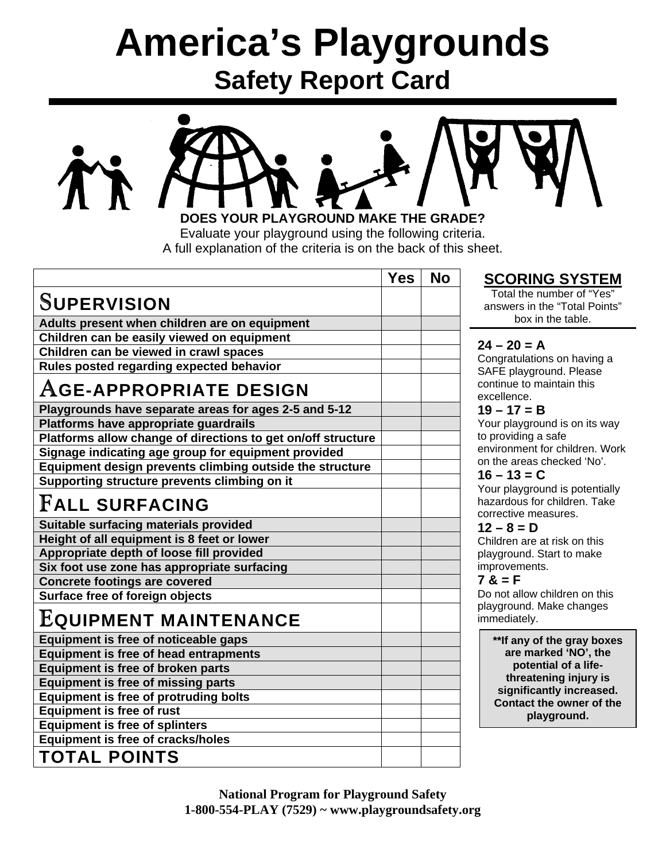# **America's Playgrounds Safety Report Card**



Evaluate your playground using the following criteria. A full explanation of the criteria is on the back of this sheet.

Yes | No

# S**UPERVISION**

**Adults present when children are on equipment Children can be easily viewed on equipment Children can be viewed in crawl spaces Rules posted regarding expected behavior** 

# A**GE-APPROPRIATE DESIGN**

**Playgrounds have separate areas for ages 2-5 and 5-12 Platforms have appropriate guardrails Platforms allow change of directions to get on/off structure Signage indicating age group for equipment provided Equipment design prevents climbing outside the structure Supporting structure prevents climbing on it** 

# F**ALL SURFACING**

**Suitable surfacing materials provided Height of all equipment is 8 feet or lower Appropriate depth of loose fill provided Six foot use zone has appropriate surfacing Concrete footings are covered Surface free of foreign objects** 

# E**QUIPMENT MAINTENANCE**

**Equipment is free of noticeable gaps Equipment is free of head entrapments Equipment is free of broken parts Equipment is free of missing parts Equipment is free of protruding bolts Equipment is free of rust Equipment is free of splinters Equipment is free of cracks/holes TOTAL POINTS** 

## **SCORING SYSTEM**

Total the number of "Yes" answers in the "Total Points" box in the table.

### $24 - 20 = A$

Congratulations on having a SAFE playground. Please continue to maintain this excellence.

### **19 – 17 = B**

Your playground is on its way to providing a safe environment for children. Work on the areas checked 'No'.

#### **16 – 13 = C**

Your playground is potentially hazardous for children. Take corrective measures.

### $12 - 8 = D$

Children are at risk on this playground. Start to make improvements.

### $7 & = F$

Do not allow children on this playground. Make changes immediately.

> **\*\*If any of the gray boxes are marked 'NO', the potential of a lifethreatening injury is significantly increased. Contact the owner of the playground.**

**National Program for Playground Safety 1-800-554-PLAY (7529) ~ www.playgroundsafety.org**